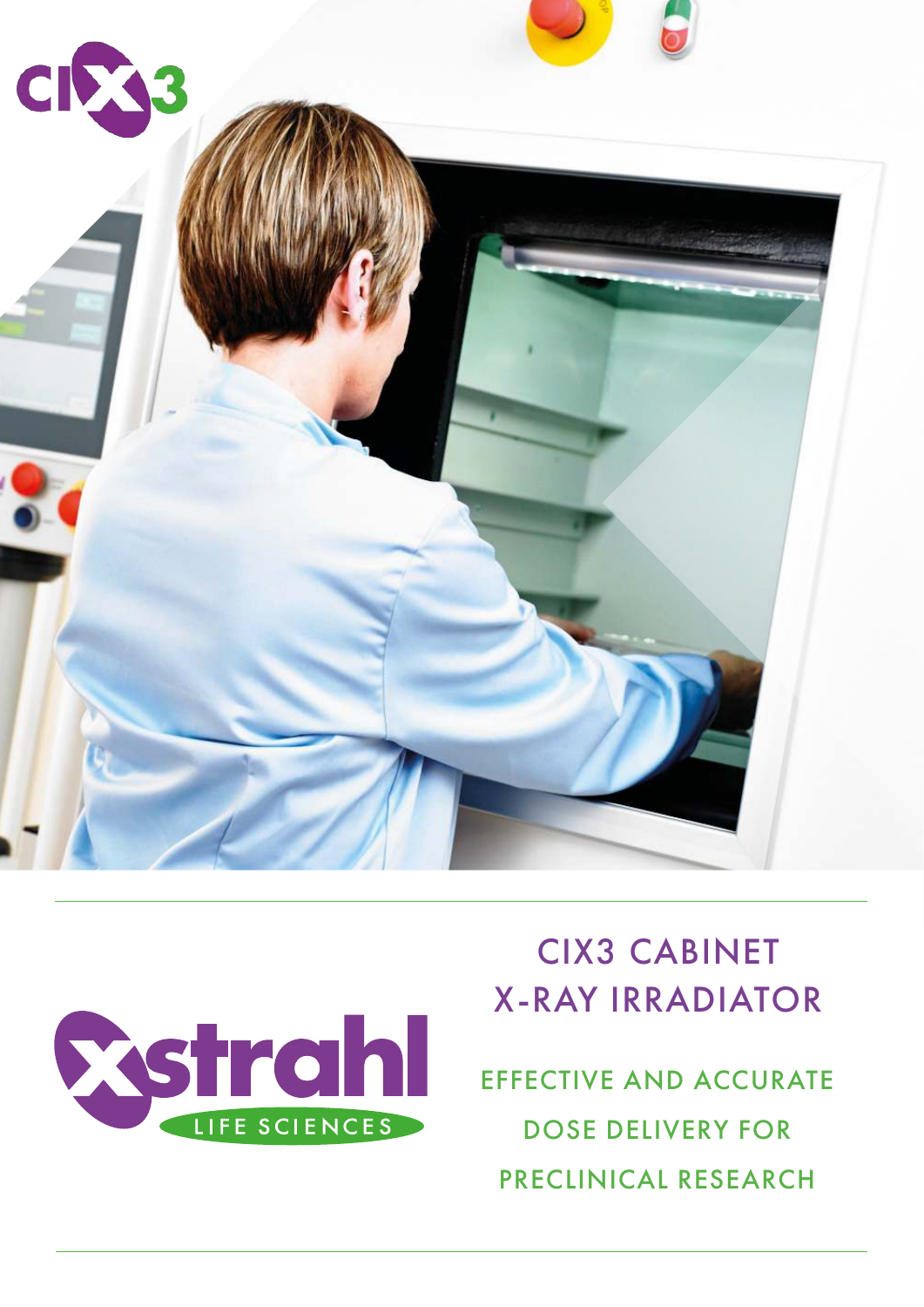



# CIX3 CABINET X-RAY IRRADIATOR

EFFECTIVE AND ACCURATE DOSE DELIVERY FOR PRECLINICAL RESEARCH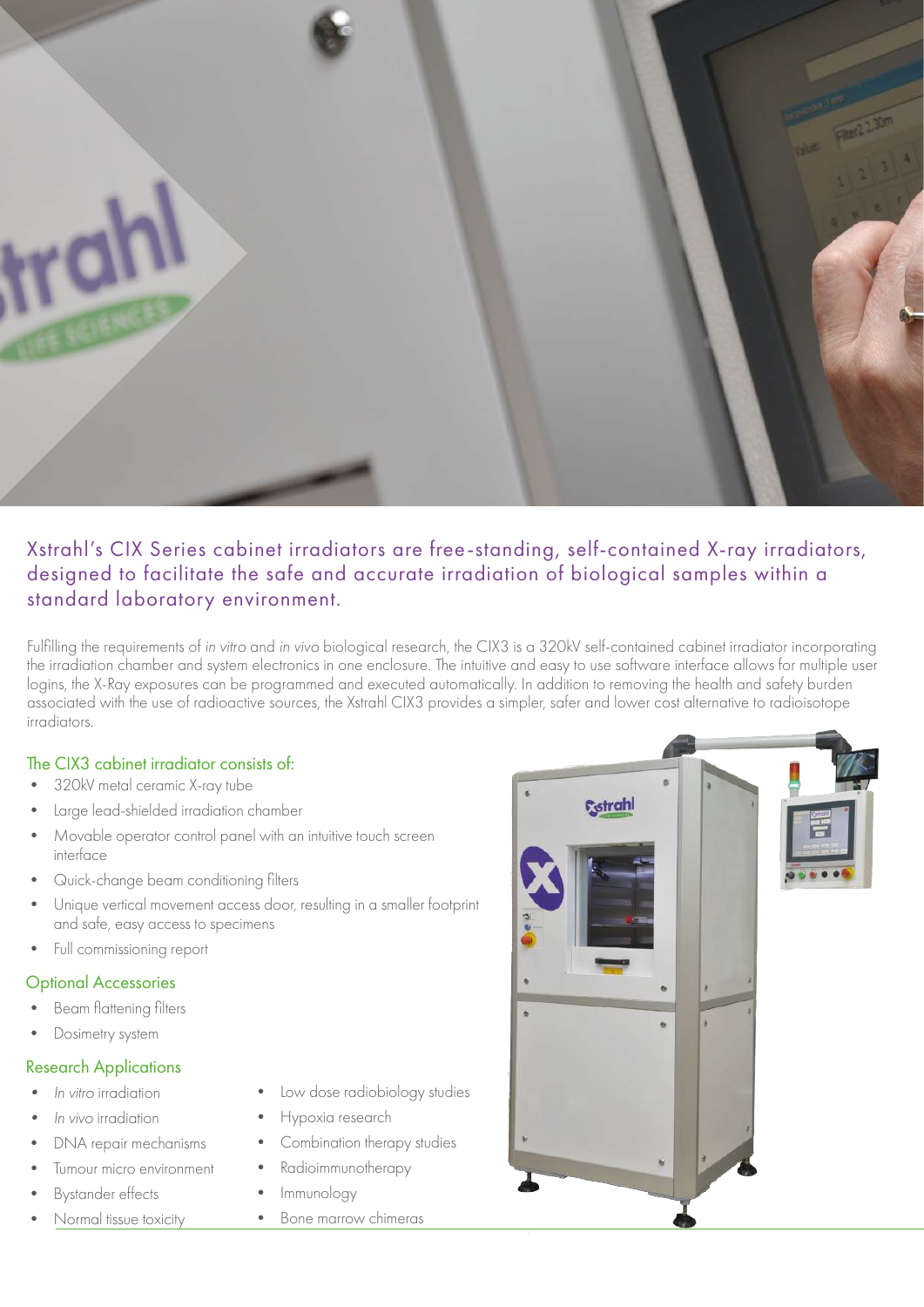

# Xstrahl's CIX Series cabinet irradiators are free-standing, self-contained X-ray irradiators, designed to facilitate the safe and accurate irradiation of biological samples within a standard laboratory environment.

Fulfilling the requirements of in vitro and in vivo biological research, the CIX3 is a 320kV self-contained cabinet irradiator incorporating the irradiation chamber and system electronics in one enclosure. The intuitive and easy to use software interface allows for multiple user logins, the X-Ray exposures can be programmed and executed automatically. In addition to removing the health and safety burden associated with the use of radioactive sources, the Xstrahl CIX3 provides a simpler, safer and lower cost alternative to radioisotope irradiators.

#### The CIX3 cabinet irradiator consists of:

- 320kV metal ceramic X-ray tube
- Large lead-shielded irradiation chamber
- Movable operator control panel with an intuitive touch screen interface
- Quick-change beam conditioning filters
- Unique vertical movement access door, resulting in a smaller footprint and safe, easy access to specimens
- Full commissioning report

#### Optional Accessories

- Beam flattening filters
- Dosimetry system

#### Research Applications

- In vitro irradiation
- In vivo irradiation
- DNA repair mechanisms
- Tumour micro environment
- Bystander effects
- Normal tissue toxicity
- Low dose radiobiology studies
- Hypoxia research
- Combination therapy studies
- Radioimmunotherapy
- Immunology
- Bone marrow chimeras

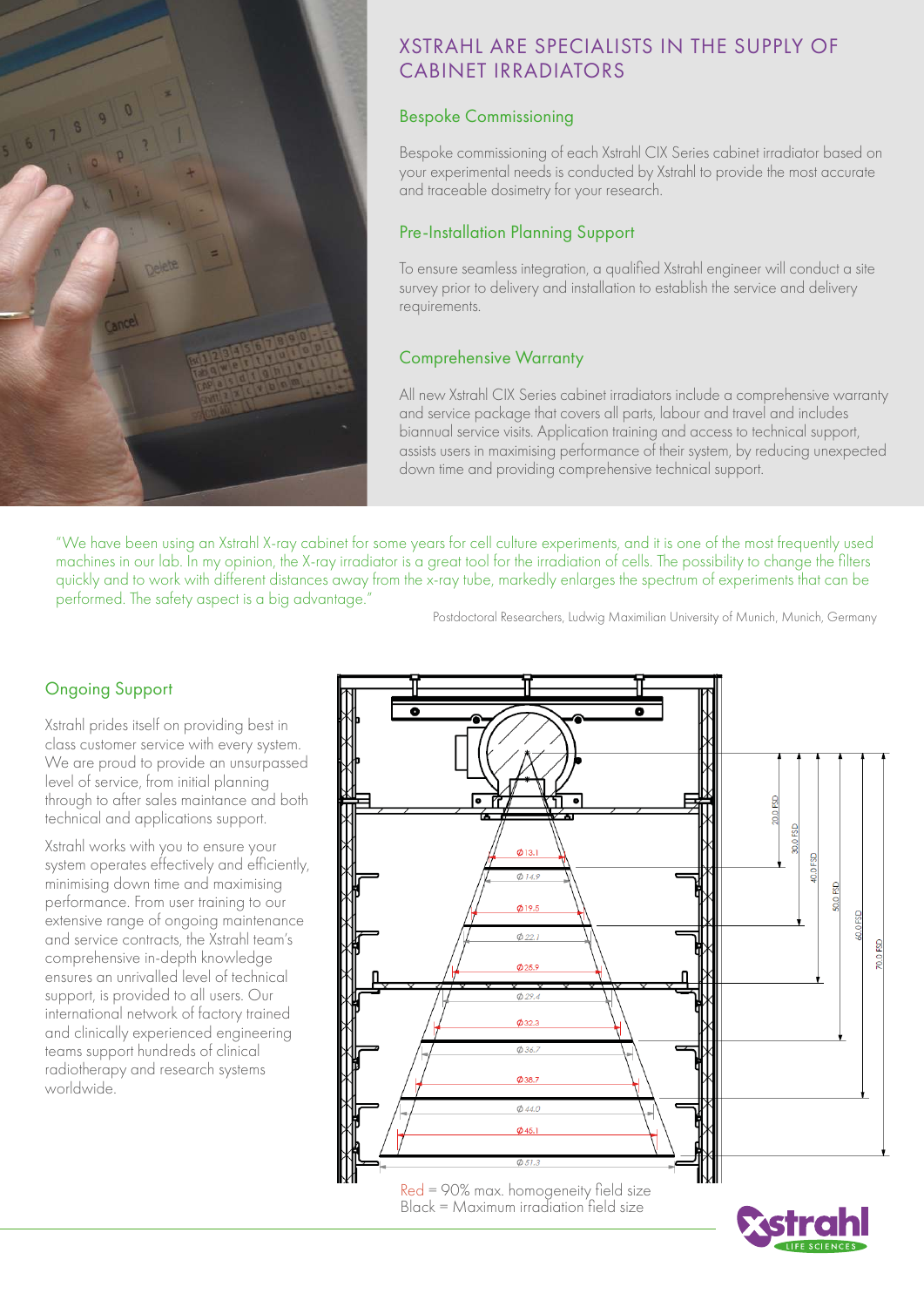

# XSTRAHL ARE SPECIALISTS IN THE SUPPLY OF CABINET IRRADIATORS

# Bespoke Commissioning

Bespoke commissioning of each Xstrahl CIX Series cabinet irradiator based on your experimental needs is conducted by Xstrahl to provide the most accurate and traceable dosimetry for your research.

# Pre-Installation Planning Support

To ensure seamless integration, a qualified Xstrahl engineer will conduct a site survey prior to delivery and installation to establish the service and delivery requirements.

### Comprehensive Warranty

All new Xstrahl CIX Series cabinet irradiators include a comprehensive warranty and service package that covers all parts, labour and travel and includes biannual service visits. Application training and access to technical support, assists users in maximising performance of their system, by reducing unexpected down time and providing comprehensive technical support.

"We have been using an Xstrahl X-ray cabinet for some years for cell culture experiments, and it is one of the most frequently used machines in our lab. In my opinion, the X-ray irradiator is a great tool for the irradiation of cells. The possibility to change the filters quickly and to work with different distances away from the x-ray tube, markedly enlarges the spectrum of experiments that can be performed. The safety aspect is a big advantage."

Postdoctoral Researchers, Ludwig Maximilian University of Munich, Munich, Germany

# Ongoing Support

Xstrahl prides itself on providing best in class customer service with every system. We are proud to provide an unsurpassed level of service, from initial planning through to after sales maintance and both technical and applications support.

Xstrahl works with you to ensure your system operates effectively and efficiently, minimising down time and maximising performance. From user training to our extensive range of ongoing maintenance and service contracts, the Xstrahl team's comprehensive in-depth knowledge ensures an unrivalled level of technical support, is provided to all users. Our international network of factory trained and clinically experienced engineering teams support hundreds of clinical radiotherapy and research systems worldwide.